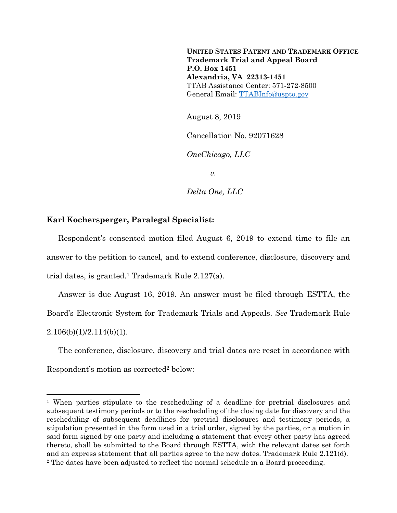**UNITED STATES PATENT AND TRADEMARK OFFICE Trademark Trial and Appeal Board P.O. Box 1451 Alexandria, VA 22313-1451**  TTAB Assistance Center: 571-272-8500 General Email: TTABInfo@uspto.gov

August 8, 2019

Cancellation No. 92071628

*OneChicago, LLC* 

*v.* 

*Delta One, LLC* 

## **Karl Kochersperger, Paralegal Specialist:**

 $\overline{a}$ 

Respondent's consented motion filed August 6, 2019 to extend time to file an answer to the petition to cancel, and to extend conference, disclosure, discovery and trial dates, is granted.1 Trademark Rule 2.127(a).

Answer is due August 16, 2019. An answer must be filed through ESTTA, the Board's Electronic System for Trademark Trials and Appeals. *See* Trademark Rule  $2.106(b)(1)/2.114(b)(1)$ .

The conference, disclosure, discovery and trial dates are reset in accordance with Respondent's motion as corrected<sup>2</sup> below:

<sup>1</sup> When parties stipulate to the rescheduling of a deadline for pretrial disclosures and subsequent testimony periods or to the rescheduling of the closing date for discovery and the rescheduling of subsequent deadlines for pretrial disclosures and testimony periods, a stipulation presented in the form used in a trial order, signed by the parties, or a motion in said form signed by one party and including a statement that every other party has agreed thereto, shall be submitted to the Board through ESTTA, with the relevant dates set forth and an express statement that all parties agree to the new dates. Trademark Rule 2.121(d). 2 The dates have been adjusted to reflect the normal schedule in a Board proceeding.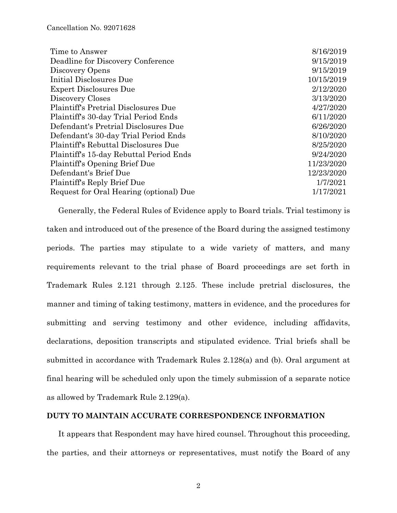| Time to Answer                              | 8/16/2019  |
|---------------------------------------------|------------|
| Deadline for Discovery Conference           | 9/15/2019  |
| Discovery Opens                             | 9/15/2019  |
| Initial Disclosures Due                     | 10/15/2019 |
| <b>Expert Disclosures Due</b>               | 2/12/2020  |
| Discovery Closes                            | 3/13/2020  |
| <b>Plaintiff's Pretrial Disclosures Due</b> | 4/27/2020  |
| Plaintiff's 30-day Trial Period Ends        | 6/11/2020  |
| Defendant's Pretrial Disclosures Due        | 6/26/2020  |
| Defendant's 30-day Trial Period Ends        | 8/10/2020  |
| Plaintiff's Rebuttal Disclosures Due        | 8/25/2020  |
| Plaintiff's 15-day Rebuttal Period Ends     | 9/24/2020  |
| Plaintiff's Opening Brief Due               | 11/23/2020 |
| Defendant's Brief Due                       | 12/23/2020 |
| Plaintiff's Reply Brief Due                 | 1/7/2021   |
| Request for Oral Hearing (optional) Due     | 1/17/2021  |
|                                             |            |

Generally, the Federal Rules of Evidence apply to Board trials. Trial testimony is taken and introduced out of the presence of the Board during the assigned testimony periods. The parties may stipulate to a wide variety of matters, and many requirements relevant to the trial phase of Board proceedings are set forth in Trademark Rules 2.121 through 2.125. These include pretrial disclosures, the manner and timing of taking testimony, matters in evidence, and the procedures for submitting and serving testimony and other evidence, including affidavits, declarations, deposition transcripts and stipulated evidence. Trial briefs shall be submitted in accordance with Trademark Rules 2.128(a) and (b). Oral argument at final hearing will be scheduled only upon the timely submission of a separate notice as allowed by Trademark Rule 2.129(a).

## **DUTY TO MAINTAIN ACCURATE CORRESPONDENCE INFORMATION**

It appears that Respondent may have hired counsel. Throughout this proceeding, the parties, and their attorneys or representatives, must notify the Board of any